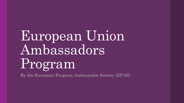# European Union Ambassadors Program

By the European Program Ambassador Society (EPAS)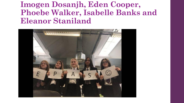**Imogen Dosanjh, Eden Cooper, Phoebe Walker, Isabelle Banks and Eleanor Staniland**

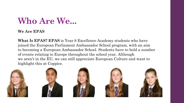### **Who Are We...**

#### **We Are EPAS**

**What Is EPAS? EPAS** is Year 8 Excellence Academy students who have joined the European Parliament Ambassador School program, with an aim to becoming a European Ambassador School. Students have to hold a number of events relating to Europe throughout the school year. Although we aren't in the EU, we can still appreciate European Culture and want to highlight this at Coppice.









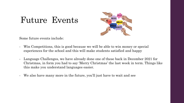#### Future Events



Some future events include:

- Win Competitions, this is good because we will be able to win money or special experiences for the school and this will make students satisfied and happy
- Language Challenges, we have already done one of these back in December 2021 for Christmas, in form you had to say 'Merry Christmas' the last week in term. Things like this make you understand languages easier.
- We also have many more in the future, you'll just have to wait and see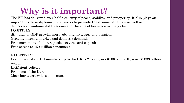## **Why is it important?**

<span id="page-4-0"></span>POSITIVES The EU has delivered over half a century of peace, stability and prosperity. It also plays an important role in diplomacy and works to promote these same benefits – as well as democracy, fundamental freedoms and the rule of law – across the globe.

Stimulus to GDP growth, more jobs, higher wages and pensions;

Growing internal market and domestic demand;

Free movement of labour, goods, services and capital;

Free access to 450 million consumers

NEGATIVES:

Cost. The costs of EU membership to the UK is £15bn gross  $(0.06\%$  of GDP) – or £6.883 billion net. ...

Inefficient policies Problems of the Euro

More bureaucracy less democracy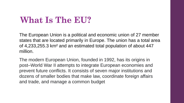### **What Is The EU?**

The European Union is a political and economic union of 27 member states that are located primarily in Europe. The union has a total area of 4,233,255.3 km² and an estimated total population of about 447 million.

The modern European Union, founded in 1992, has its origins in post–World War II attempts to integrate European economies and prevent future conflicts. It consists of seven major institutions and dozens of smaller bodies that make law, coordinate foreign affairs and trade, and manage a common budget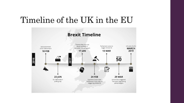#### Timeline of the UK in the EU